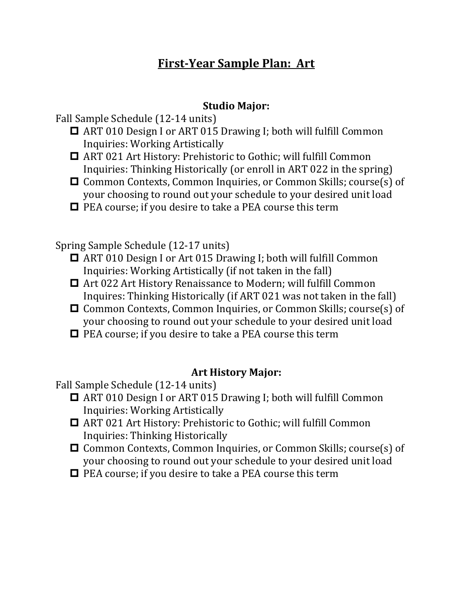## **First-Year Sample Plan: Art**

## **Studio Major:**

Fall Sample Schedule (12-14 units)

- ART 010 Design I or ART 015 Drawing I; both will fulfill Common Inquiries: Working Artistically
- ART 021 Art History: Prehistoric to Gothic; will fulfill Common Inquiries: Thinking Historically (or enroll in ART 022 in the spring)
- Common Contexts, Common Inquiries, or Common Skills; course(s) of your choosing to round out your schedule to your desired unit load
- $\Box$  PEA course; if you desire to take a PEA course this term

Spring Sample Schedule (12-17 units)

- ART 010 Design I or Art 015 Drawing I; both will fulfill Common Inquiries: Working Artistically (if not taken in the fall)
- Art 022 Art History Renaissance to Modern; will fulfill Common Inquires: Thinking Historically (if ART 021 was not taken in the fall)
- Common Contexts, Common Inquiries, or Common Skills; course(s) of your choosing to round out your schedule to your desired unit load
- $\Box$  PEA course; if you desire to take a PEA course this term

## **Art History Major:**

Fall Sample Schedule (12-14 units)

- ART 010 Design I or ART 015 Drawing I; both will fulfill Common Inquiries: Working Artistically
- ART 021 Art History: Prehistoric to Gothic; will fulfill Common Inquiries: Thinking Historically
- □ Common Contexts, Common Inquiries, or Common Skills; course(s) of your choosing to round out your schedule to your desired unit load
- $\Box$  PEA course; if you desire to take a PEA course this term